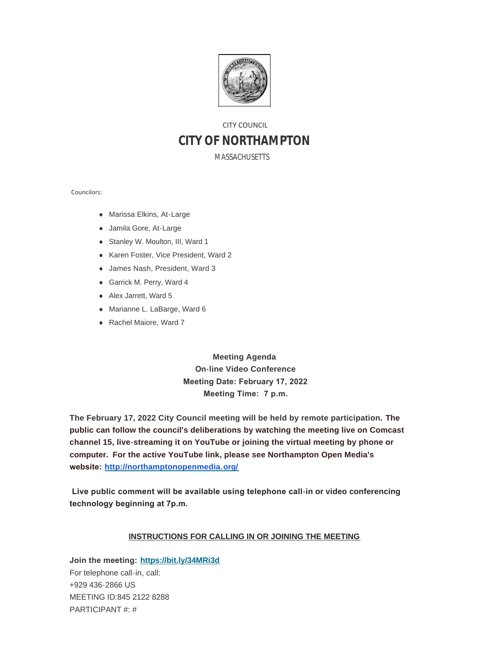

# CITY COUNCIL **CITY OF NORTHAMPTON**

MASSACHUSETTS

Councilors:

- Marissa Elkins, At-Large
- Jamila Gore, At-Large
- Stanley W. Moulton, III, Ward 1
- Karen Foster, Vice President, Ward 2
- James Nash, President, Ward 3
- Garrick M. Perry, Ward 4
- Alex Jarrett, Ward 5
- Marianne L. LaBarge, Ward 6
- Rachel Maiore, Ward 7

**Meeting Agenda On-line Video Conference Meeting Date: February 17, 2022 Meeting Time: 7 p.m.**

**The February 17, 2022 City Council meeting will be held by remote participation. The public can follow the council's deliberations by watching the meeting live on Comcast channel 15, live-streaming it on YouTube or joining the virtual meeting by phone or computer. For the active YouTube link, please see Northampton Open Media's website: <http://northamptonopenmedia.org/>**

 **Live public comment will be available using telephone call-in or video conferencing technology beginning at 7p.m.** 

#### **INSTRUCTIONS FOR CALLING IN OR JOINING THE MEETING**

**Join the meeting: <https://bit.ly/34MRi3d>** For telephone call-in, call: +929 436-2866 US MEETING ID:845 2122 8288 PARTICIPANT #: #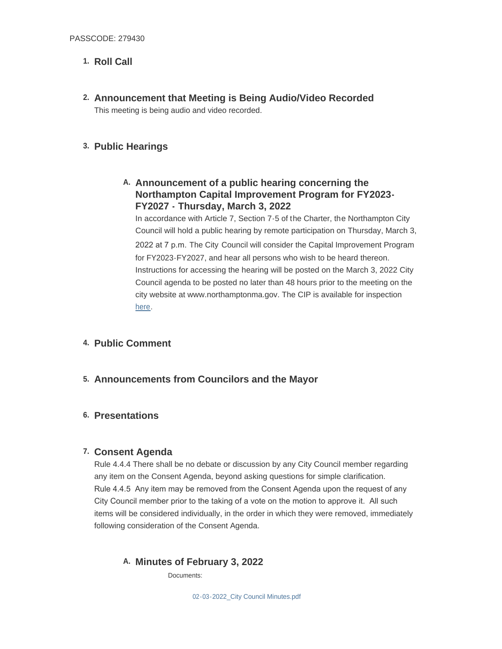## 1. Roll Call

**Announcement that Meeting is Being Audio/Video Recorded 2.** This meeting is being audio and video recorded.

### **Public Hearings 3.**

## **Announcement of a public hearing concerning the A. Northampton Capital Improvement Program for FY2023- FY2027 - Thursday, March 3, 2022**

In accordance with Article 7, Section 7-5 of the Charter, the Northampton City Council will hold a public hearing by remote participation on Thursday, March 3, 2022 at 7 p.m. The City Council will consider the Capital Improvement Program for FY2023-FY2027, and hear all persons who wish to be heard thereon. Instructions for accessing the hearing will be posted on the March 3, 2022 City Council agenda to be posted no later than 48 hours prior to the meeting on the [city w](https://drive.google.com/file/d/1Ln0ugR4GQHoaogiUILvQx4Rh2cd32TZf/view)ebsite at www.northamptonma.gov. The CIP is available for inspection here.

### **Public Comment 4.**

**Announcements from Councilors and the Mayor 5.**

### **Presentations 6.**

### **Consent Agenda 7.**

Rule 4.4.4 There shall be no debate or discussion by any City Council member regarding any item on the Consent Agenda, beyond asking questions for simple clarification. Rule 4.4.5 Any item may be removed from the Consent Agenda upon the request of any City Council member prior to the taking of a vote on the motion to approve it. All such items will be considered individually, in the order in which they were removed, immediately following consideration of the Consent Agenda.

## **Minutes of February 3, 2022 A.**

Documents: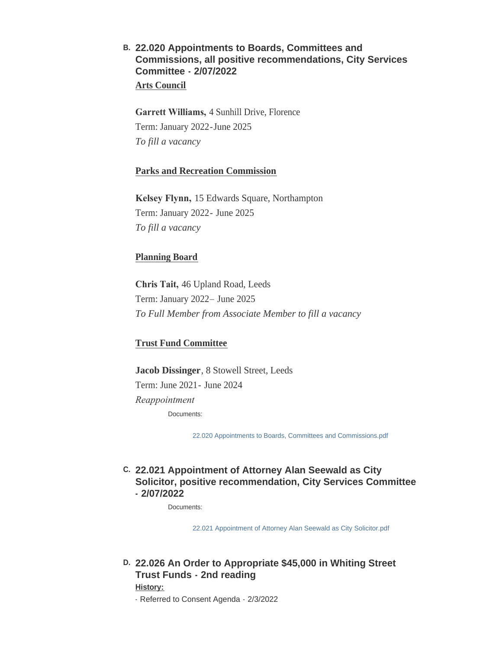## **22.020 Appointments to Boards, Committees and B. Commissions, all positive recommendations, City Services Committee - 2/07/2022 Arts Council**

**Garrett Williams,** 4 Sunhill Drive, Florence Term: January 2022-June 2025 *To fill a vacancy*

### **Parks and Recreation Commission**

**Kelsey Flynn,** 15 Edwards Square, Northampton Term: January 2022- June 2025 *To fill a vacancy*

### **Planning Board**

**Chris Tait,** 46 Upland Road, Leeds Term: January 2022– June 2025 *To Full Member from Associate Member to fill a vacancy*

### **Trust Fund Committee**

**Jacob Dissinger**, 8 Stowell Street, Leeds Term: June 2021- June 2024 *Reappointment*  Documents:

[22.020 Appointments to Boards, Committees and Commissions.pdf](https://northamptonma.gov/AgendaCenter/ViewFile/Item/18502?fileID=163181)

## **22.021 Appointment of Attorney Alan Seewald as City C. Solicitor, positive recommendation, City Services Committee - 2/07/2022**

Documents:

[22.021 Appointment of Attorney Alan Seewald as City Solicitor.pdf](https://northamptonma.gov/AgendaCenter/ViewFile/Item/18503?fileID=163182)

**22.026 An Order to Appropriate \$45,000 in Whiting Street D. Trust Funds - 2nd reading**

**History:**

- Referred to Consent Agenda - 2/3/2022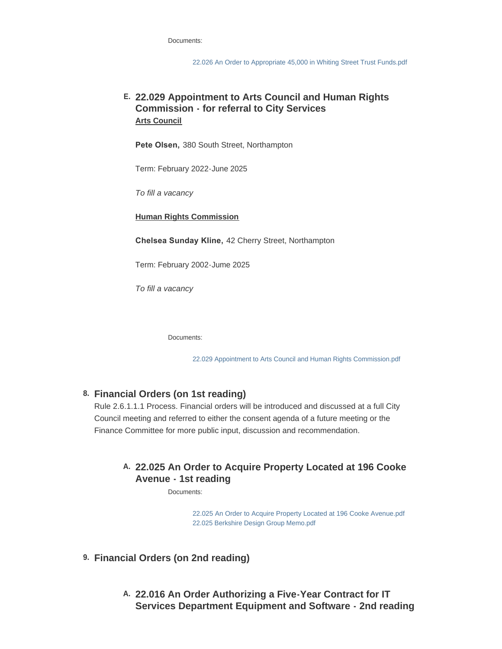Documents:

[22.026 An Order to Appropriate 45,000 in Whiting Street Trust Funds.pdf](https://northamptonma.gov/AgendaCenter/ViewFile/Item/18504?fileID=163183)

## **22.029 Appointment to Arts Council and Human Rights E. Commission - for referral to City Services Arts Council**

**Pete Olsen,** 380 South Street, Northampton

Term: February 2022-June 2025

*To fill a vacancy*

**Human Rights Commission**

**Chelsea Sunday Kline,** 42 Cherry Street, Northampton

Term: February 2002-Jume 2025

*To fill a vacancy*

Documents:

[22.029 Appointment to Arts Council and Human Rights Commission.pdf](https://northamptonma.gov/AgendaCenter/ViewFile/Item/18493?fileID=163179)

### **Financial Orders (on 1st reading) 8.**

Rule 2.6.1.1.1 Process. Financial orders will be introduced and discussed at a full City Council meeting and referred to either the consent agenda of a future meeting or the Finance Committee for more public input, discussion and recommendation.

## **22.025 An Order to Acquire Property Located at 196 Cooke A. Avenue - 1st reading**

Documents:

[22.025 An Order to Acquire Property Located at 196 Cooke Avenue.pdf](https://northamptonma.gov/AgendaCenter/ViewFile/Item/18506?fileID=163184) [22.025 Berkshire Design Group Memo.pdf](https://northamptonma.gov/AgendaCenter/ViewFile/Item/18506?fileID=163185)

- **Financial Orders (on 2nd reading) 9.**
	- **22.016 An Order Authorizing a Five-Year Contract for IT A. Services Department Equipment and Software - 2nd reading**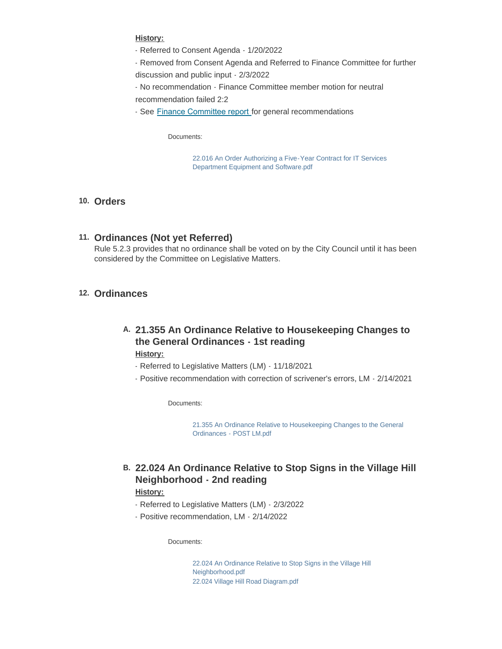#### **History:**

- Referred to Consent Agenda 1/20/2022
- Removed from Consent Agenda and Referred to Finance Committee for further discussion and public input - 2/3/2022

- No recommendation - Finance Committee member motion for neutral recommendation failed 2:2

- See [Finance Committee report](https://northamptonma.gov/DocumentCenter/View/19147/22016-Finance-Committee-Report) for general recommendations

Documents:

[22.016 An Order Authorizing a Five-Year Contract for IT Services](https://northamptonma.gov/AgendaCenter/ViewFile/Item/18508?fileID=163186)  Department Equipment and Software.pdf

#### **Orders 10.**

**Ordinances (Not yet Referred) 11.** Rule 5.2.3 provides that no ordinance shall be voted on by the City Council until it has been considered by the Committee on Legislative Matters.

### **Ordinances 12.**

## **21.355 An Ordinance Relative to Housekeeping Changes to A. the General Ordinances - 1st reading**

**History:**

- Referred to Legislative Matters (LM) 11/18/2021
- Positive recommendation with correction of scrivener's errors, LM 2/14/2021

Documents:

[21.355 An Ordinance Relative to Housekeeping Changes to the General](https://northamptonma.gov/AgendaCenter/ViewFile/Item/18512?fileID=163195)  Ordinances - POST LM.pdf

## **22.024 An Ordinance Relative to Stop Signs in the Village Hill B. Neighborhood - 2nd reading**

#### **History:**

- Referred to Legislative Matters (LM) 2/3/2022
- Positive recommendation, LM 2/14/2022

Documents:

[22.024 An Ordinance Relative to Stop Signs in the Village Hill](https://northamptonma.gov/AgendaCenter/ViewFile/Item/18513?fileID=163188)  Neighborhood.pdf [22.024 Village Hill Road Diagram.pdf](https://northamptonma.gov/AgendaCenter/ViewFile/Item/18513?fileID=163189)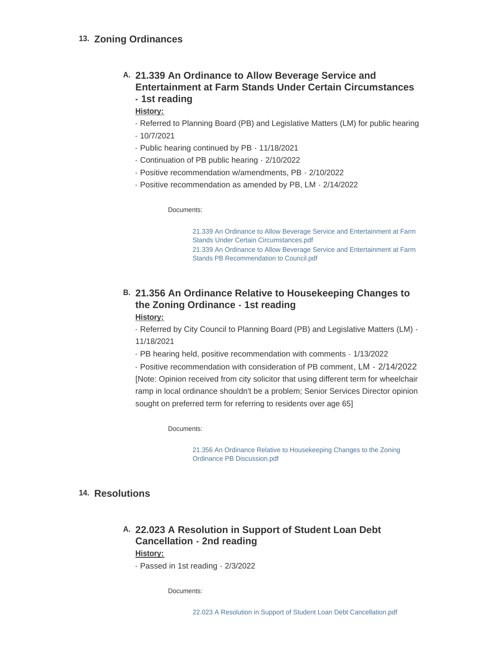## 13. Zoning Ordinances

## **21.339 An Ordinance to Allow Beverage Service and A. Entertainment at Farm Stands Under Certain Circumstances - 1st reading**

**History:**

- Referred to Planning Board (PB) and Legislative Matters (LM) for public hearing
- 10/7/2021
- Public hearing continued by PB 11/18/2021
- Continuation of PB public hearing 2/10/2022
- Positive recommendation w/amendments, PB 2/10/2022
- Positive recommendation as amended by PB, LM 2/14/2022

Documents:

[21.339 An Ordinance to Allow Beverage Service and Entertainment at Farm](https://northamptonma.gov/AgendaCenter/ViewFile/Item/18515?fileID=163190)  Stands Under Certain Circumstances.pdf [21.339 An Ordinance to Allow Beverage Service and Entertainment at Farm](https://northamptonma.gov/AgendaCenter/ViewFile/Item/18515?fileID=163194)  Stands PB Recommendation to Council.pdf

## **21.356 An Ordinance Relative to Housekeeping Changes to B. the Zoning Ordinance - 1st reading**

#### **History:**

- Referred by City Council to Planning Board (PB) and Legislative Matters (LM) - 11/18/2021

- PB hearing held, positive recommendation with comments - 1/13/2022

- Positive recommendation with consideration of PB comment, LM - 2/14/2022 [Note: Opinion received from city solicitor that using different term for wheelchair ramp in local ordinance shouldn't be a problem; Senior Services Director opinion sought on preferred term for referring to residents over age 65]

Documents:

[21.356 An Ordinance Relative to Housekeeping Changes to the Zoning](https://northamptonma.gov/AgendaCenter/ViewFile/Item/18516?fileID=163191)  Ordinance PB Discussion.pdf

### 14. Resolutions

## **22.023 A Resolution in Support of Student Loan Debt A. Cancellation - 2nd reading History:**

- Passed in 1st reading - 2/3/2022

Documents: